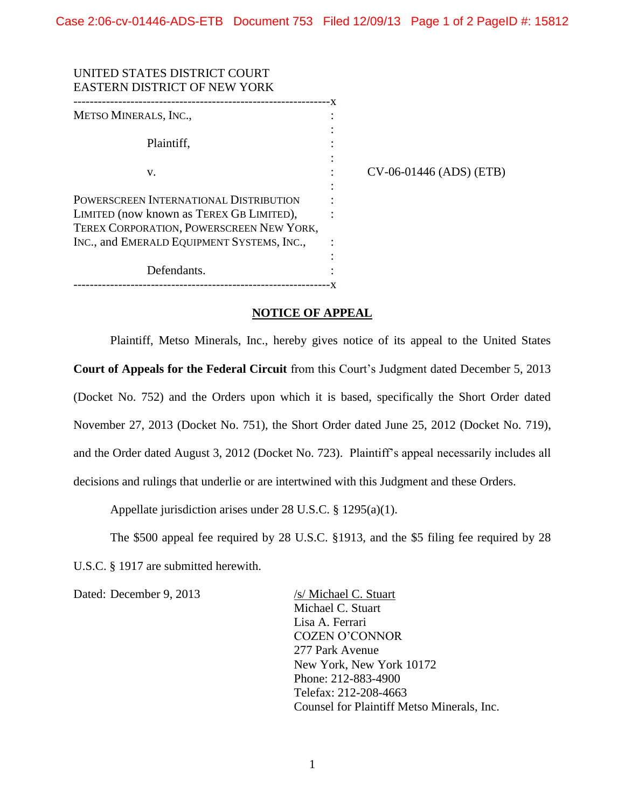| UNITED STATES DISTRICT COURT<br><b>EASTERN DISTRICT OF NEW YORK</b> |                         |
|---------------------------------------------------------------------|-------------------------|
| METSO MINERALS, INC.,                                               |                         |
| Plaintiff,                                                          |                         |
| V.                                                                  | CV-06-01446 (ADS) (ETB) |
| POWERSCREEN INTERNATIONAL DISTRIBUTION                              |                         |
| LIMITED (now known as TEREX GB LIMITED),                            |                         |
| TEREX CORPORATION, POWERSCREEN NEW YORK,                            |                         |
| INC., and EMERALD EQUIPMENT SYSTEMS, INC.,                          |                         |
|                                                                     |                         |
| Defendants.                                                         |                         |
|                                                                     |                         |

## **NOTICE OF APPEAL**

Plaintiff, Metso Minerals, Inc., hereby gives notice of its appeal to the United States **Court of Appeals for the Federal Circuit** from this Court's Judgment dated December 5, 2013 (Docket No. 752) and the Orders upon which it is based, specifically the Short Order dated November 27, 2013 (Docket No. 751), the Short Order dated June 25, 2012 (Docket No. 719), and the Order dated August 3, 2012 (Docket No. 723). Plaintiff's appeal necessarily includes all decisions and rulings that underlie or are intertwined with this Judgment and these Orders.

Appellate jurisdiction arises under 28 U.S.C. § 1295(a)(1).

The \$500 appeal fee required by 28 U.S.C. §1913, and the \$5 filing fee required by 28 U.S.C. § 1917 are submitted herewith.

Dated: December 9, 2013 /s/ Michael C. Stuart

Michael C. Stuart Lisa A. Ferrari COZEN O'CONNOR 277 Park Avenue New York, New York 10172 Phone: 212-883-4900 Telefax: 212-208-4663 Counsel for Plaintiff Metso Minerals, Inc.